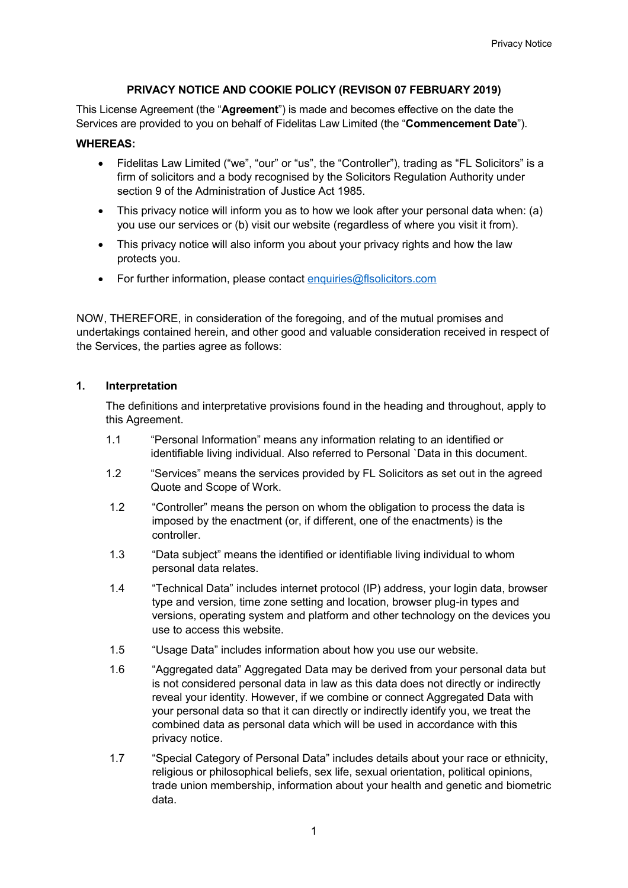# **PRIVACY NOTICE AND COOKIE POLICY (REVISON 07 FEBRUARY 2019)**

This License Agreement (the "**Agreement**") is made and becomes effective on the date the Services are provided to you on behalf of Fidelitas Law Limited (the "**Commencement Date**").

### **WHEREAS:**

- Fidelitas Law Limited ("we", "our" or "us", the "Controller"), trading as "FL Solicitors" is a firm of solicitors and a body recognised by the Solicitors Regulation Authority under section 9 of the Administration of Justice Act 1985.
- This privacy notice will inform you as to how we look after your personal data when: (a) you use our services or (b) visit our website (regardless of where you visit it from).
- This privacy notice will also inform you about your privacy rights and how the law protects you.
- For further information, please contact [enquiries@flsolicitors.com](http://enquiries@flsolicitors.com)

NOW, THEREFORE, in consideration of the foregoing, and of the mutual promises and undertakings contained herein, and other good and valuable consideration received in respect of the Services, the parties agree as follows:

## **1. Interpretation**

The definitions and interpretative provisions found in the heading and throughout, apply to this Agreement.

- 1.1 "Personal Information" means any information relating to an identified or identifiable living individual. Also referred to Personal `Data in this document.
- 1.2 "Services" means the services provided by FL Solicitors as set out in the agreed Quote and Scope of Work.
- 1.2 "Controller" means the person on whom the obligation to process the data is imposed by the enactment (or, if different, one of the enactments) is the controller.
- 1.3 "Data subject" means the identified or identifiable living individual to whom personal data relates.
- 1.4 "Technical Data" includes internet protocol (IP) address, your login data, browser type and version, time zone setting and location, browser plug-in types and versions, operating system and platform and other technology on the devices you use to access this website.
- 1.5 "Usage Data" includes information about how you use our website.
- 1.6 "Aggregated data" Aggregated Data may be derived from your personal data but is not considered personal data in law as this data does not directly or indirectly reveal your identity. However, if we combine or connect Aggregated Data with your personal data so that it can directly or indirectly identify you, we treat the combined data as personal data which will be used in accordance with this privacy notice.
- 1.7 "Special Category of Personal Data" includes details about your race or ethnicity, religious or philosophical beliefs, sex life, sexual orientation, political opinions, trade union membership, information about your health and genetic and biometric data.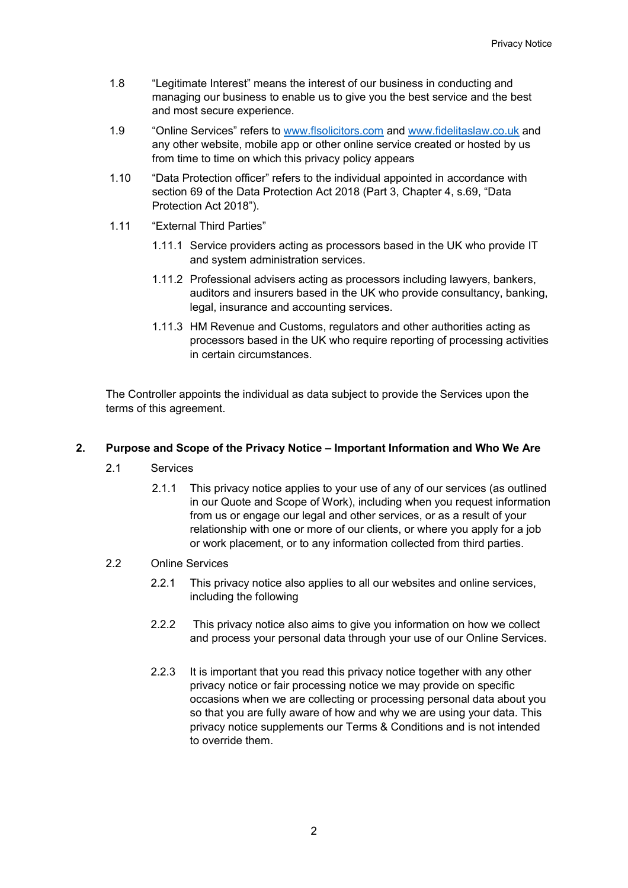- 1.8 "Legitimate Interest" means the interest of our business in conducting and managing our business to enable us to give you the best service and the best and most secure experience.
- 1.9 "Online Services" refers to [www.flsolicitors.com](http://www.flsolicitors.com/) and [www.fidelitaslaw.co.uk](http://www.fidelitaslaw.co.uk/) and any other website, mobile app or other online service created or hosted by us from time to time on which this privacy policy appears
- 1.10 "Data Protection officer" refers to the individual appointed in accordance with section 69 of the Data Protection Act 2018 (Part 3, Chapter 4, s.69, "Data Protection Act 2018").
- 1.11 "External Third Parties"
	- 1.11.1 Service providers acting as processors based in the UK who provide IT and system administration services.
	- 1.11.2 Professional advisers acting as processors including lawyers, bankers, auditors and insurers based in the UK who provide consultancy, banking, legal, insurance and accounting services.
	- 1.11.3 HM Revenue and Customs, regulators and other authorities acting as processors based in the UK who require reporting of processing activities in certain circumstances.

The Controller appoints the individual as data subject to provide the Services upon the terms of this agreement.

# **2. Purpose and Scope of the Privacy Notice – Important Information and Who We Are**

- 2.1 Services
	- 2.1.1 This privacy notice applies to your use of any of our services (as outlined in our Quote and Scope of Work), including when you request information from us or engage our legal and other services, or as a result of your relationship with one or more of our clients, or where you apply for a job or work placement, or to any information collected from third parties.

## 2.2 Online Services

- 2.2.1 This privacy notice also applies to all our websites and online services, including the following
- 2.2.2 This privacy notice also aims to give you information on how we collect and process your personal data through your use of our Online Services.
- 2.2.3 It is important that you read this privacy notice together with any other privacy notice or fair processing notice we may provide on specific occasions when we are collecting or processing personal data about you so that you are fully aware of how and why we are using your data. This privacy notice supplements our Terms & Conditions and is not intended to override them.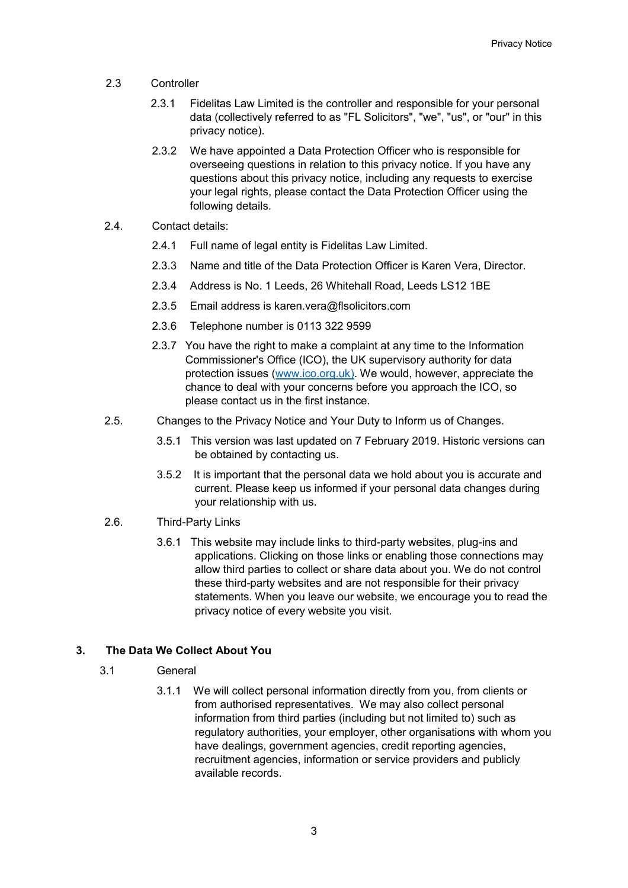- 2.3 Controller
	- 2.3.1 Fidelitas Law Limited is the controller and responsible for your personal data (collectively referred to as "FL Solicitors", "we", "us", or "our" in this privacy notice).
	- 2.3.2 We have appointed a Data Protection Officer who is responsible for overseeing questions in relation to this privacy notice. If you have any questions about this privacy notice, including any requests to exercise your legal rights, please contact the Data Protection Officer using the following details.
- 2.4. Contact details:
	- 2.4.1 Full name of legal entity is Fidelitas Law Limited.
	- 2.3.3 Name and title of the Data Protection Officer is Karen Vera, Director.
	- 2.3.4 Address is No. 1 Leeds, 26 Whitehall Road, Leeds LS12 1BE
	- 2.3.5 Email address is karen.vera@flsolicitors.com
	- 2.3.6 Telephone number is 0113 322 9599
	- 2.3.7 You have the right to make a complaint at any time to the Information Commissioner's Office (ICO), the UK supervisory authority for data protection issues [\(www.ico.org.uk\).](http://www.ico.org.uk)/) We would, however, appreciate the chance to deal with your concerns before you approach the ICO, so please contact us in the first instance.
- 2.5. Changes to the Privacy Notice and Your Duty to Inform us of Changes.
	- 3.5.1 This version was last updated on 7 February 2019. Historic versions can be obtained by contacting us.
	- 3.5.2 It is important that the personal data we hold about you is accurate and current. Please keep us informed if your personal data changes during your relationship with us.
- 2.6. Third-Party Links
	- 3.6.1 This website may include links to third-party websites, plug-ins and applications. Clicking on those links or enabling those connections may allow third parties to collect or share data about you. We do not control these third-party websites and are not responsible for their privacy statements. When you leave our website, we encourage you to read the privacy notice of every website you visit.

# **3. The Data We Collect About You**

- 3.1 General
	- 3.1.1 We will collect personal information directly from you, from clients or from authorised representatives. We may also collect personal information from third parties (including but not limited to) such as regulatory authorities, your employer, other organisations with whom you have dealings, government agencies, credit reporting agencies, recruitment agencies, information or service providers and publicly available records.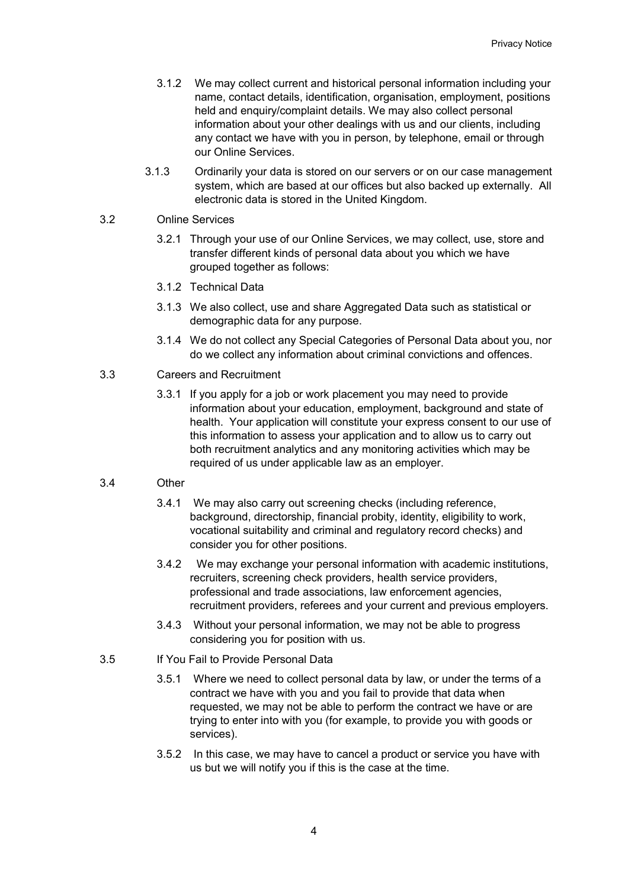- 3.1.2 We may collect current and historical personal information including your name, contact details, identification, organisation, employment, positions held and enquiry/complaint details. We may also collect personal information about your other dealings with us and our clients, including any contact we have with you in person, by telephone, email or through our Online Services.
- 3.1.3 Ordinarily your data is stored on our servers or on our case management system, which are based at our offices but also backed up externally. All electronic data is stored in the United Kingdom.

# 3.2 Online Services

- 3.2.1 Through your use of our Online Services, we may collect, use, store and transfer different kinds of personal data about you which we have grouped together as follows:
- 3.1.2 Technical Data
- 3.1.3 We also collect, use and share Aggregated Data such as statistical or demographic data for any purpose.
- 3.1.4 We do not collect any Special Categories of Personal Data about you, nor do we collect any information about criminal convictions and offences.

# 3.3 Careers and Recruitment

3.3.1 If you apply for a job or work placement you may need to provide information about your education, employment, background and state of health. Your application will constitute your express consent to our use of this information to assess your application and to allow us to carry out both recruitment analytics and any monitoring activities which may be required of us under applicable law as an employer.

## 3.4 Other

- 3.4.1 We may also carry out screening checks (including reference, background, directorship, financial probity, identity, eligibility to work, vocational suitability and criminal and regulatory record checks) and consider you for other positions.
- 3.4.2 We may exchange your personal information with academic institutions, recruiters, screening check providers, health service providers, professional and trade associations, law enforcement agencies, recruitment providers, referees and your current and previous employers.
- 3.4.3 Without your personal information, we may not be able to progress considering you for position with us.

#### 3.5 If You Fail to Provide Personal Data

- 3.5.1 Where we need to collect personal data by law, or under the terms of a contract we have with you and you fail to provide that data when requested, we may not be able to perform the contract we have or are trying to enter into with you (for example, to provide you with goods or services).
- 3.5.2 In this case, we may have to cancel a product or service you have with us but we will notify you if this is the case at the time.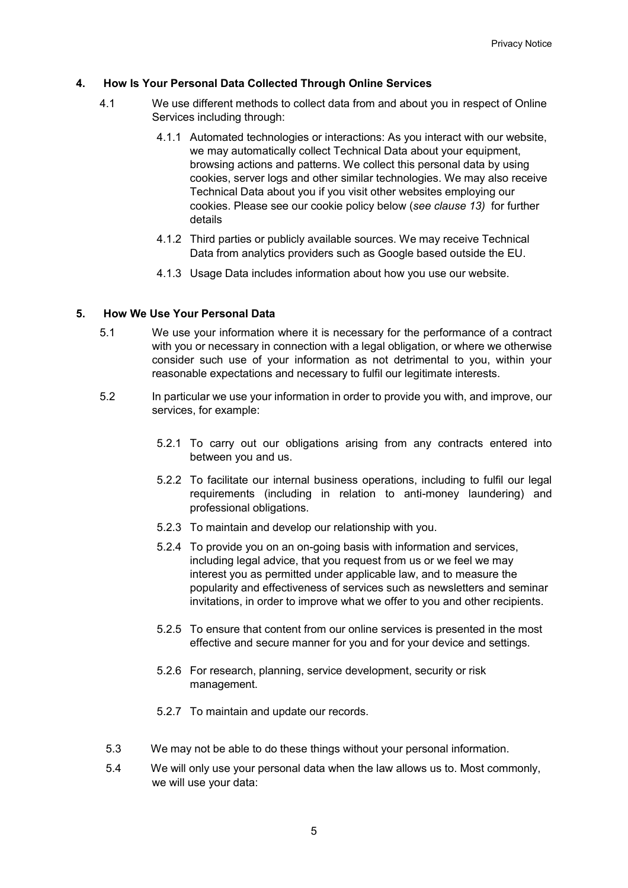# **4. How Is Your Personal Data Collected Through Online Services**

- 4.1 We use different methods to collect data from and about you in respect of Online Services including through:
	- 4.1.1 Automated technologies or interactions: As you interact with our website, we may automatically collect Technical Data about your equipment, browsing actions and patterns. We collect this personal data by using cookies, server logs and other similar technologies. We may also receive Technical Data about you if you visit other websites employing our cookies. Please see our cookie policy below (*see clause 13)* for further details
	- 4.1.2 Third parties or publicly available sources. We may receive Technical Data from analytics providers such as Google based outside the EU.
	- 4.1.3 Usage Data includes information about how you use our website.

## **5. How We Use Your Personal Data**

- 5.1 We use your information where it is necessary for the performance of a contract with you or necessary in connection with a legal obligation, or where we otherwise consider such use of your information as not detrimental to you, within your reasonable expectations and necessary to fulfil our legitimate interests.
- 5.2 In particular we use your information in order to provide you with, and improve, our services, for example:
	- 5.2.1 To carry out our obligations arising from any contracts entered into between you and us.
	- 5.2.2 To facilitate our internal business operations, including to fulfil our legal requirements (including in relation to anti-money laundering) and professional obligations.
	- 5.2.3 To maintain and develop our relationship with you.
	- 5.2.4 To provide you on an on-going basis with information and services, including legal advice, that you request from us or we feel we may interest you as permitted under applicable law, and to measure the popularity and effectiveness of services such as newsletters and seminar invitations, in order to improve what we offer to you and other recipients.
	- 5.2.5 To ensure that content from our online services is presented in the most effective and secure manner for you and for your device and settings.
	- 5.2.6 For research, planning, service development, security or risk management.
	- 5.2.7 To maintain and update our records.
	- 5.3 We may not be able to do these things without your personal information.
	- 5.4 We will only use your personal data when the law allows us to. Most commonly, we will use your data: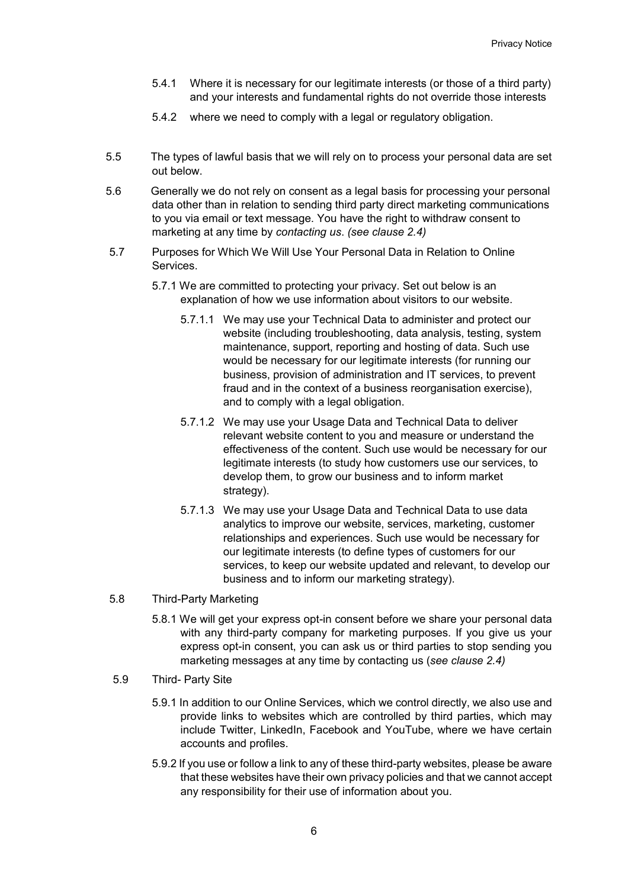- 5.4.1 Where it is necessary for our legitimate interests (or those of a third party) and your interests and fundamental rights do not override those interests
- 5.4.2 where we need to comply with a legal or regulatory obligation.
- 5.5 The types of lawful basis that we will rely on to process your personal data are set out below.
- 5.6 Generally we do not rely on consent as a legal basis for processing your personal data other than in relation to sending third party direct marketing communications to you via email or text message. You have the right to withdraw consent to marketing at any time by *contacting us*. *(see clause 2.4)*
- 5.7 Purposes for Which We Will Use Your Personal Data in Relation to Online Services.
	- 5.7.1 We are committed to protecting your privacy. Set out below is an explanation of how we use information about visitors to our website.
		- 5.7.1.1 We may use your Technical Data to administer and protect our website (including troubleshooting, data analysis, testing, system maintenance, support, reporting and hosting of data. Such use would be necessary for our legitimate interests (for running our business, provision of administration and IT services, to prevent fraud and in the context of a business reorganisation exercise), and to comply with a legal obligation.
		- 5.7.1.2 We may use your Usage Data and Technical Data to deliver relevant website content to you and measure or understand the effectiveness of the content. Such use would be necessary for our legitimate interests (to study how customers use our services, to develop them, to grow our business and to inform market strategy).
		- 5.7.1.3 We may use your Usage Data and Technical Data to use data analytics to improve our website, services, marketing, customer relationships and experiences. Such use would be necessary for our legitimate interests (to define types of customers for our services, to keep our website updated and relevant, to develop our business and to inform our marketing strategy).
- 5.8 Third-Party Marketing
	- 5.8.1 We will get your express opt-in consent before we share your personal data with any third-party company for marketing purposes. If you give us your express opt-in consent, you can ask us or third parties to stop sending you marketing messages at any time by contacting us (*see clause 2.4)*
- 5.9 Third- Party Site
	- 5.9.1 In addition to our Online Services, which we control directly, we also use and provide links to websites which are controlled by third parties, which may include Twitter, LinkedIn, Facebook and YouTube, where we have certain accounts and profiles.
	- 5.9.2 If you use or follow a link to any of these third-party websites, please be aware that these websites have their own privacy policies and that we cannot accept any responsibility for their use of information about you.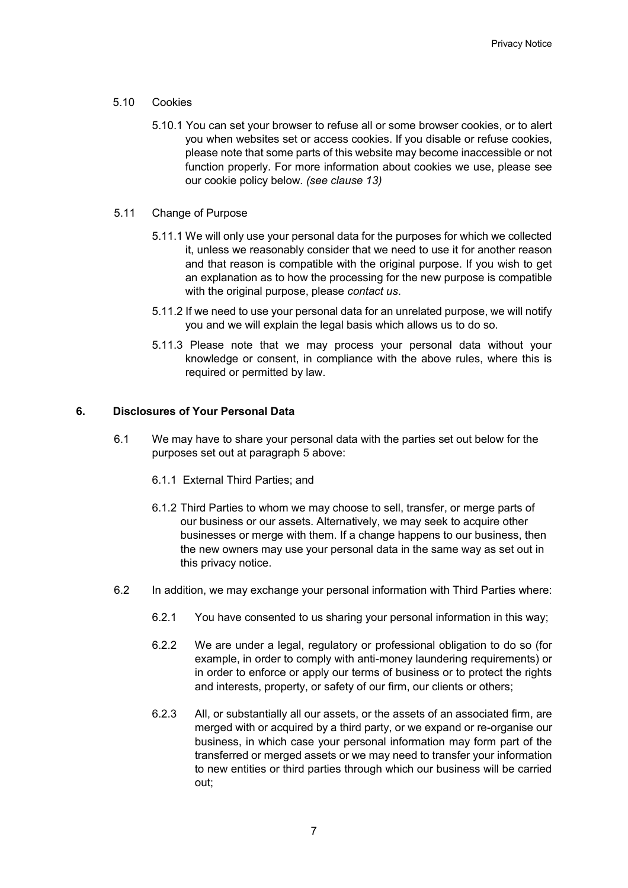- 5.10 Cookies
	- 5.10.1 You can set your browser to refuse all or some browser cookies, or to alert you when websites set or access cookies. If you disable or refuse cookies, please note that some parts of this website may become inaccessible or not function properly. For more information about cookies we use, please see our cookie policy below*. (see clause 13)*
- 5.11 Change of Purpose
	- 5.11.1 We will only use your personal data for the purposes for which we collected it, unless we reasonably consider that we need to use it for another reason and that reason is compatible with the original purpose. If you wish to get an explanation as to how the processing for the new purpose is compatible with the original purpose, please *contact us*.
	- 5.11.2 If we need to use your personal data for an unrelated purpose, we will notify you and we will explain the legal basis which allows us to do so.
	- 5.11.3 Please note that we may process your personal data without your knowledge or consent, in compliance with the above rules, where this is required or permitted by law.

## **6. Disclosures of Your Personal Data**

- 6.1 We may have to share your personal data with the parties set out below for the purposes set out at paragraph 5 above:
	- 6.1.1 External Third Parties; and
	- 6.1.2 Third Parties to whom we may choose to sell, transfer, or merge parts of our business or our assets. Alternatively, we may seek to acquire other businesses or merge with them. If a change happens to our business, then the new owners may use your personal data in the same way as set out in this privacy notice.
- 6.2 In addition, we may exchange your personal information with Third Parties where:
	- 6.2.1 You have consented to us sharing your personal information in this way;
	- 6.2.2 We are under a legal, regulatory or professional obligation to do so (for example, in order to comply with anti-money laundering requirements) or in order to enforce or apply our terms of business or to protect the rights and interests, property, or safety of our firm, our clients or others;
	- 6.2.3 All, or substantially all our assets, or the assets of an associated firm, are merged with or acquired by a third party, or we expand or re-organise our business, in which case your personal information may form part of the transferred or merged assets or we may need to transfer your information to new entities or third parties through which our business will be carried out;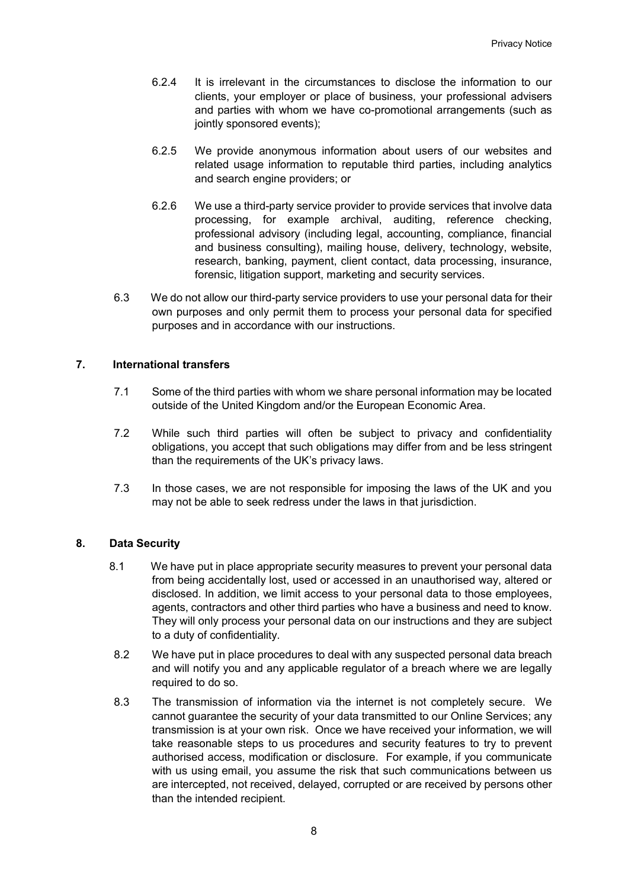- 6.2.4 It is irrelevant in the circumstances to disclose the information to our clients, your employer or place of business, your professional advisers and parties with whom we have co-promotional arrangements (such as jointly sponsored events);
- 6.2.5 We provide anonymous information about users of our websites and related usage information to reputable third parties, including analytics and search engine providers; or
- 6.2.6 We use a third-party service provider to provide services that involve data processing, for example archival, auditing, reference checking, professional advisory (including legal, accounting, compliance, financial and business consulting), mailing house, delivery, technology, website, research, banking, payment, client contact, data processing, insurance, forensic, litigation support, marketing and security services.
- 6.3 We do not allow our third-party service providers to use your personal data for their own purposes and only permit them to process your personal data for specified purposes and in accordance with our instructions.

## **7. International transfers**

- 7.1 Some of the third parties with whom we share personal information may be located outside of the United Kingdom and/or the European Economic Area.
- 7.2 While such third parties will often be subject to privacy and confidentiality obligations, you accept that such obligations may differ from and be less stringent than the requirements of the UK's privacy laws.
- 7.3 In those cases, we are not responsible for imposing the laws of the UK and you may not be able to seek redress under the laws in that jurisdiction.

## **8. Data Security**

- 8.1 We have put in place appropriate security measures to prevent your personal data from being accidentally lost, used or accessed in an unauthorised way, altered or disclosed. In addition, we limit access to your personal data to those employees, agents, contractors and other third parties who have a business and need to know. They will only process your personal data on our instructions and they are subject to a duty of confidentiality.
- 8.2 We have put in place procedures to deal with any suspected personal data breach and will notify you and any applicable regulator of a breach where we are legally required to do so.
- 8.3 The transmission of information via the internet is not completely secure. We cannot guarantee the security of your data transmitted to our Online Services; any transmission is at your own risk. Once we have received your information, we will take reasonable steps to us procedures and security features to try to prevent authorised access, modification or disclosure. For example, if you communicate with us using email, you assume the risk that such communications between us are intercepted, not received, delayed, corrupted or are received by persons other than the intended recipient.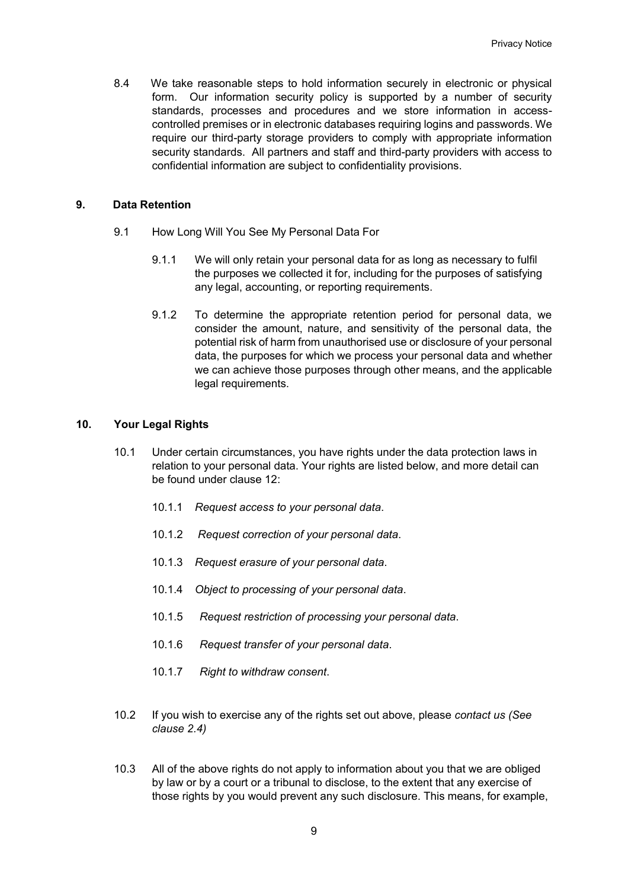8.4 We take reasonable steps to hold information securely in electronic or physical form. Our information security policy is supported by a number of security standards, processes and procedures and we store information in accesscontrolled premises or in electronic databases requiring logins and passwords. We require our third-party storage providers to comply with appropriate information security standards. All partners and staff and third-party providers with access to confidential information are subject to confidentiality provisions.

### **9. Data Retention**

- 9.1 How Long Will You See My Personal Data For
	- 9.1.1 We will only retain your personal data for as long as necessary to fulfil the purposes we collected it for, including for the purposes of satisfying any legal, accounting, or reporting requirements.
	- 9.1.2 To determine the appropriate retention period for personal data, we consider the amount, nature, and sensitivity of the personal data, the potential risk of harm from unauthorised use or disclosure of your personal data, the purposes for which we process your personal data and whether we can achieve those purposes through other means, and the applicable legal requirements.

## **10. Your Legal Rights**

- 10.1 Under certain circumstances, you have rights under the data protection laws in relation to your personal data. Your rights are listed below, and more detail can be found under clause 12:
	- 10.1.1 *Request access to your personal data*.
	- 10.1.2 *Request correction of your personal data*.
	- 10.1.3 *Request erasure of your personal data*.
	- 10.1.4 *Object to processing of your personal data*.
	- 10.1.5 *Request restriction of processing your personal data*.
	- 10.1.6 *Request transfer of your personal data*.
	- 10.1.7 *Right to withdraw consent*.
- 10.2 If you wish to exercise any of the rights set out above, please *contact us (See clause 2.4)*
- 10.3 All of the above rights do not apply to information about you that we are obliged by law or by a court or a tribunal to disclose, to the extent that any exercise of those rights by you would prevent any such disclosure. This means, for example,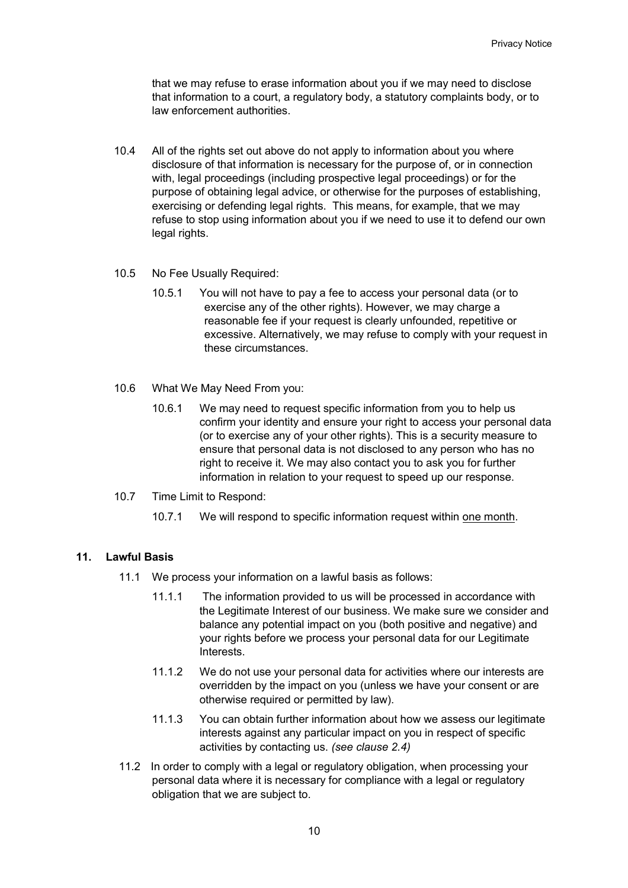that we may refuse to erase information about you if we may need to disclose that information to a court, a regulatory body, a statutory complaints body, or to law enforcement authorities.

- 10.4 All of the rights set out above do not apply to information about you where disclosure of that information is necessary for the purpose of, or in connection with, legal proceedings (including prospective legal proceedings) or for the purpose of obtaining legal advice, or otherwise for the purposes of establishing, exercising or defending legal rights. This means, for example, that we may refuse to stop using information about you if we need to use it to defend our own legal rights.
- 10.5 No Fee Usually Required:
	- 10.5.1 You will not have to pay a fee to access your personal data (or to exercise any of the other rights). However, we may charge a reasonable fee if your request is clearly unfounded, repetitive or excessive. Alternatively, we may refuse to comply with your request in these circumstances.
- 10.6 What We May Need From you:
	- 10.6.1 We may need to request specific information from you to help us confirm your identity and ensure your right to access your personal data (or to exercise any of your other rights). This is a security measure to ensure that personal data is not disclosed to any person who has no right to receive it. We may also contact you to ask you for further information in relation to your request to speed up our response.
- 10.7 Time Limit to Respond:
	- 10.7.1 We will respond to specific information request within one month.

# **11. Lawful Basis**

- 11.1 We process your information on a lawful basis as follows:
	- 11.1.1 The information provided to us will be processed in accordance with the Legitimate Interest of our business. We make sure we consider and balance any potential impact on you (both positive and negative) and your rights before we process your personal data for our Legitimate Interests.
	- 11.1.2 We do not use your personal data for activities where our interests are overridden by the impact on you (unless we have your consent or are otherwise required or permitted by law).
	- 11.1.3 You can obtain further information about how we assess our legitimate interests against any particular impact on you in respect of specific activities by contacting us. *(see clause 2.4)*
- 11.2 In order to comply with a legal or regulatory obligation, when processing your personal data where it is necessary for compliance with a legal or regulatory obligation that we are subject to.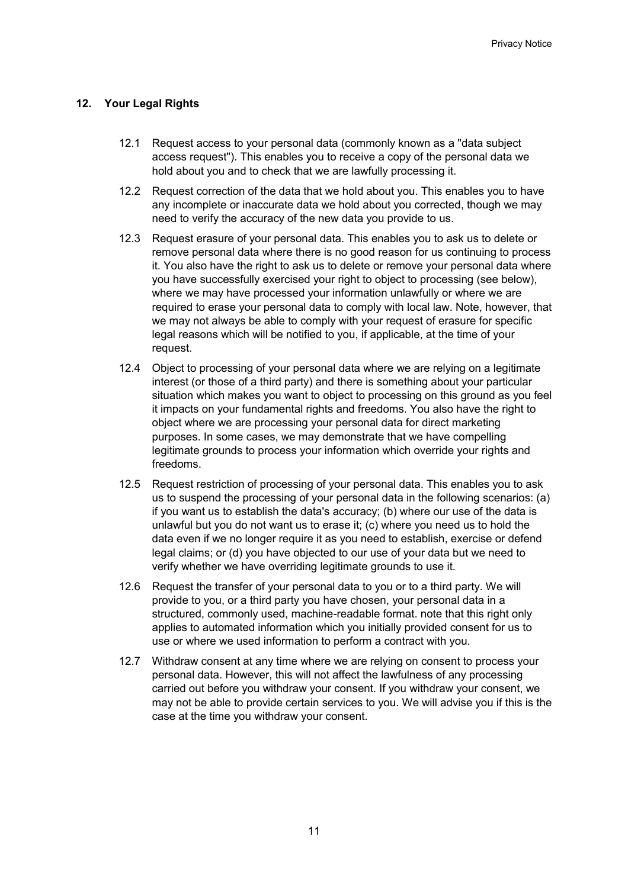# **12. Your Legal Rights**

- 12.1 Request access to your personal data (commonly known as a "data subject access request"). This enables you to receive a copy of the personal data we hold about you and to check that we are lawfully processing it.
- 12.2 Request correction of the data that we hold about you. This enables you to have any incomplete or inaccurate data we hold about you corrected, though we may need to verify the accuracy of the new data you provide to us.
- 12.3 Request erasure of your personal data. This enables you to ask us to delete or remove personal data where there is no good reason for us continuing to process it. You also have the right to ask us to delete or remove your personal data where you have successfully exercised your right to object to processing (see below), where we may have processed your information unlawfully or where we are required to erase your personal data to comply with local law. Note, however, that we may not always be able to comply with your request of erasure for specific legal reasons which will be notified to you, if applicable, at the time of your request.
- 12.4 Object to processing of your personal data where we are relying on a legitimate interest (or those of a third party) and there is something about your particular situation which makes you want to object to processing on this ground as you feel it impacts on your fundamental rights and freedoms. You also have the right to object where we are processing your personal data for direct marketing purposes. In some cases, we may demonstrate that we have compelling legitimate grounds to process your information which override your rights and freedoms.
- 12.5 Request restriction of processing of your personal data. This enables you to ask us to suspend the processing of your personal data in the following scenarios: (a) if you want us to establish the data's accuracy; (b) where our use of the data is unlawful but you do not want us to erase it; (c) where you need us to hold the data even if we no longer require it as you need to establish, exercise or defend legal claims; or (d) you have objected to our use of your data but we need to verify whether we have overriding legitimate grounds to use it.
- 12.6 Request the transfer of your personal data to you or to a third party. We will provide to you, or a third party you have chosen, your personal data in a structured, commonly used, machine-readable format. note that this right only applies to automated information which you initially provided consent for us to use or where we used information to perform a contract with you.
- 12.7 Withdraw consent at any time where we are relying on consent to process your personal data. However, this will not affect the lawfulness of any processing carried out before you withdraw your consent. If you withdraw your consent, we may not be able to provide certain services to you. We will advise you if this is the case at the time you withdraw your consent.